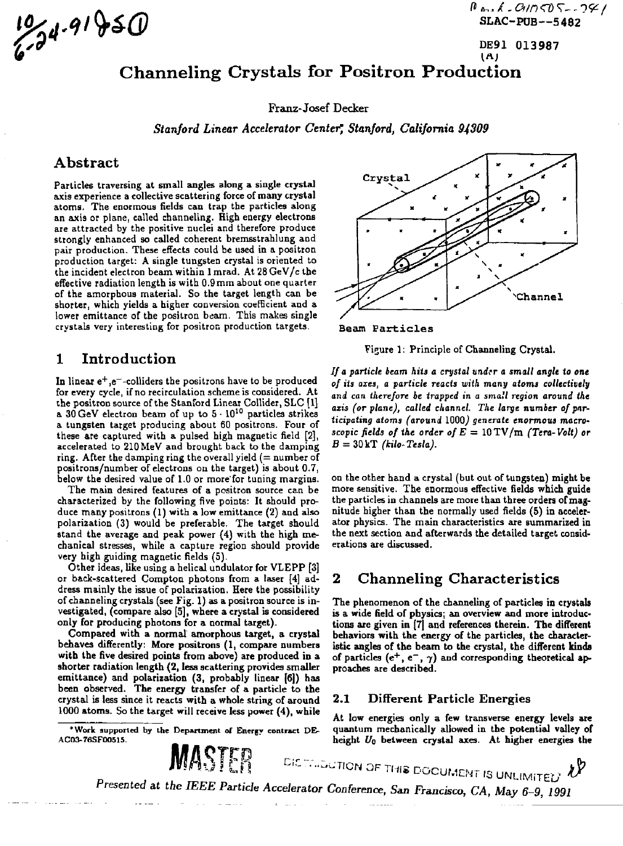$\frac{10}{34.91} + \frac{91}{50}$ <br>SLAC-PUB--5482

DE91 013987<br>(A)

# Channeling Crystals for Positron Production

Franz-Josef Decker

*Stanford Linear Accelerator Center^ Stanford, California 94309* 

## Abstract

Particles traversing at small angles along a single crystal axis experience a collective scattering force of many crystal atoms. The enormous fields can trap the particles along an axis or plane, called channeling. High energy electrons are attracted by the positive nuclei and therefore produce strongly enhanced so called coherent bremsstrahlung and pair production. These effects could be used in a positron production target: A single tungsten crystal is oriented to the incident electron beam within 1 mrad. At 28 GeV/c the effective radiation length is with 0.9mm about one quarter of the amorphous material. So the target length can be shorter, which yields a higher conversion coefficient and a lower emittance of the positron beam. This makes single crystals very interesting for positron production targets.

## 1 Introduction

In linear  $e^+$ , $e^-$ -colliders the positrons have to be produced for every cycle, if no recirculation scheme is considered. At ihe positron source of the Stanford Linear Collider, SLC [1] a  $30\,\text{GeV}$  electron beam of up to  $5\cdot 10^{10}$  particles strikes a tungsten target producing about 60 positrons. Four of these are captured with a pulsed high magnetic field [2], accelerated to 210 MeV and brought back to the damping ring. After the damping ring the overall yield  $(=$  number of positrons/number of electrons ou the target) is about 0.7, below the desired value of 1.0 or more'for tuning margins.

The main desired features of a positron source can be characterized by the following five points: It should produce many positrons (1) with a low emittance (2) and also polarization (3) would be preferable. The target should stand the average and peak power (4) with the high mechanical stresses, while a capture region should provide very high guiding magnetic fields (5).

Other ideas, like using a helical undulator for VLEPP [3] or back-scattered Compton photons from a laser [4] address mainly the issue of polarization. Here the possibility of channeling crystals (see Fig. 1) as a positron source is investigated, (compare also [5], where a crystal is considered only for producing photons for a normal target).

Compared with a normal amorphous target, a crystal behaves differently: More positrons (1, compare numbers with the five desired points from above) are produced in a shorter radiation length (2, less scattering provides smaller emittance) and polarization (3, probably linear [6]) has been observed. The energy transfer of a particle to the crystal is less since it reacts with a whole string of around 1000 atoms. So the target will receive less power (4), while

**'Work supported by the Department of Energy contract DE-AC03-76SF0O51S. \_** 



Beam Particles

Figure 1: Principle of Channeling Crystal.

// a *particle beam hits a crystal under a small angle to one of its axes, a particle reacts with many atoms collectively and can therefore be trapped in a small region around the axis (or plane), called channel. The large number of par*ticipating atoms (around 1000) generate enormous macro*scopic fields of the order of E* = lOTV/m *(Ten-Volt) or*  B = 30kT *(kilo-Tesla).* 

on the other hand a crystal (but out of tungsten) might be more sensitive. The enormous effective fields which guide the particles in channels are more than three orders of magnitude higher than the normally used fields (5) in accelerator physics. The main characteristics are summarized in the next section and afterwards the detailed target considerations are discussed.

## 2 Channeling Characteristics

The phenomenon of the channeling of particles in crystals is a wide field of physics; an overview and more introductions are given in [7] and references therein. The different behaviors with the energy of the particles, the characteristic angles of the beam to the crystal, the different kinds of particles (e<sup>+</sup>, e<sup>-</sup>,  $\gamma$ ) and corresponding theoretical approaches are described.

#### 2.1 Different Particle Energies

At low energies only a few transverse energy levels are quantum mechanically allowed in the potential valley of height  $U_0$  between crystal axes. At higher energies the

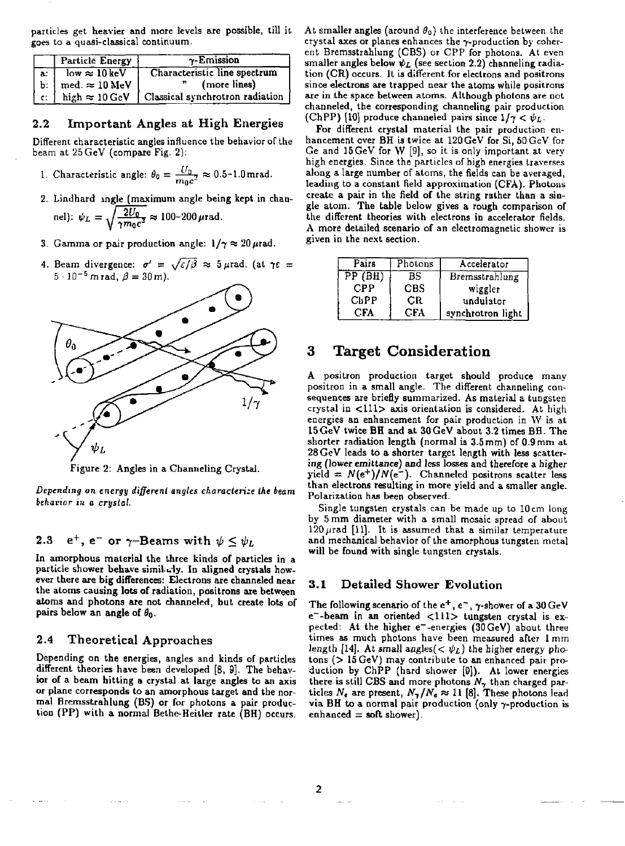particles get heavier and more levels are possible, till it goes to a quasi-classical continuum.

|        | <b>Particle Energy</b>             | $\gamma$ -Emission                                             |
|--------|------------------------------------|----------------------------------------------------------------|
| . a. l | $low \approx 10 keV$               | Characteristic line spectrum                                   |
|        | b:   med. $\approx 10 \text{ MeV}$ | (more lines)<br>n                                              |
| 1 c: 1 |                                    | high $\approx 10 \,\text{GeV}$ Classical synchrotron radiation |

#### 2.2 Important Angles at High Energies

Different characteristic angles influence the behavior of the beam at 25 GeV (compare Fig. 2):

- 1. Characteristic angle:  $\theta_0 = \frac{U_0}{m_0 c^2} \approx 0.5$ -1.0mrad.
- 2. Lindhard ingle (maximum angle being kept in channel):  $\psi_L = \sqrt{\frac{2U_0}{2\pi}} \approx 100-200 \,\mu\text{rad}.$
- 3. Gamma or pair production angle:  $1/\gamma \approx 20 \,\mu\text{rad}$ .
- 4. Beam divergence:  $\sigma' = \sqrt{\varepsilon/\beta} \approx 5 \,\mu\text{rad}$ , (at  $\gamma\varepsilon =$  $5 \cdot 10^{-5}$  m rad,  $\beta = 30$  m).



Figure 2: Angles in a Channeling Crystal.

*Depending on energy different angles characterize the beam behavior in a crystal.* 

### 2.3 e<sup>+</sup>, e<sup>-</sup> or  $\gamma$ -Beams with  $\psi \leq \psi_L$

In amorphous material the three kinds of particles in a particle shower behave similarly. In aligned crystals however there are big differences: Electrons are channeled near the atoms causing lots of radiation, positrons are between atoms and photons are not channeled, but create lots of pairs below an angle of *B<sup>0</sup> .* 

#### 2.4 Theoretical Approaches

Depending on the energies, angles and kinds of particles different theories have been developed [8, 9]. The behavior of a beam hitting a crystal at large angles to an axis or plane corresponds to an amorphous target and the normal Bremsstrahlung (BS) or for photons a pair production (PP) with a normal Bethe-Heitler rate (BH) occurs. At smaller angles (around  $\theta$ <sup>a</sup>) the interference between the crystal axes or planes enhances the  $\gamma$ -production by coherent Bremsstrahlung (CBS) or CPP for photons. At even smaller angles below  $\psi_L$  (see section 2.2) channeling radiation (CR) occurs. It is different for electrons and positrons since electrons are trapped near the atoms while positrons are in the space between atoms. Although photons are not channeled, the corresponding channeling pair production (ChPP) [10] produce channeled pairs since  $1/\gamma < \psi_L$ .

For different crystal material the pair production enhancement over BH is twice at 120GeV for Si, 50GeV for Ge and 15 GeV for W [9], so it is only important at very high energies. Since the particles of high energies traverses along a large number of atoms, the fields can be averaged, leading to a constant field approximation (CFA). Photons create a pair in the field of the string rather than a single atom. The table below gives a rough comparison of the different theories with electrons in accelerator fields. A more detailed scenario of an electromagnetic shower is given in the next section.

| Pairs               | Photons    | Accelerator       |
|---------------------|------------|-------------------|
| $\overline{PP(BH)}$ | BS         | Bremsstrahlung    |
| CPP                 | <b>CBS</b> | wiggler           |
| ChPP                | СR         | undulator         |
| CFA                 | CFA        | synchrotron light |

# 3 Target Consideration

A positron production target should produce many positron in a small angle. The different channeling consequences are briefly summarized. As material a tungsten crystal in <111> axis orientation is considered. At high energies an enhancement for pair production in W is at 15GeV twice BH and at 30GeV about 3.2 times BH. The shorter radiation length (normal is 3.5 mm) of 0.9 mm at 28 GeV leads to a shorter target length with less scattering (lower emittance) and less losses and therefore a higher  $yield = N(e^{+})/N(e^{-})$ . Channeled positrons scatter less than electrons resulting in more yield and a smaller angle. Polarization has been observed.

Single tungsten crystals can be made up to 10 cm long by 5 mm diameter with a small mosaic spread of about  $120\,\mu$ rad [11]. It is assumed that a similar temperature and mechanical behavior of the amorphous tungsten metal will be found with single tungsten crystals.

#### **3.1 Detailed Shower Evolution**

<sup>f</sup> The following scenario of the  $e^+$ , e<sup>-</sup>,  $\gamma$ -shower of a 30 GeV e~-beam in an oriented <111> tungsten crystal is expected: At the higher e-energies (30 GeV) about three times as much photons have been measured after 1 mm length [14]. At small angles( $< \psi_L$ ) the higher energy pho $tons$  ( $> 15 GeV$ ) may contribute to an enhanced pair pro-- duction by ChPP (hard shower [9]). At lower energies s there is still CBS and more photons *N-,* than charged par ticles  $N_e$  are present,  $N_{\gamma}/N_e \approx 11$  [8]. These photons lead via BH to a normal pair production (only 7-production is  $enhanced = soft shower)$ .